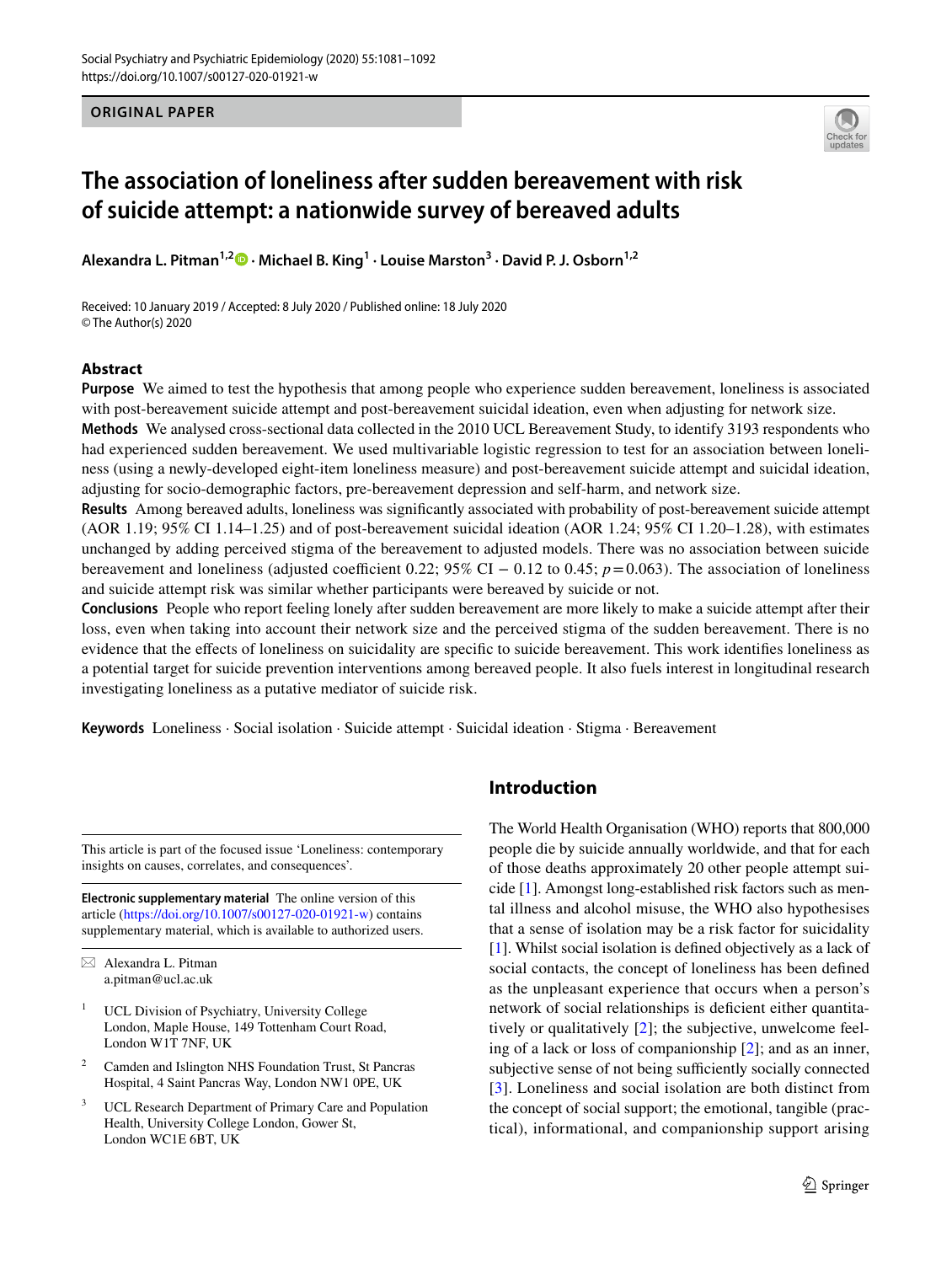**ORIGINAL PAPER**



# **The association of loneliness after sudden bereavement with risk of suicide attempt: a nationwide survey of bereaved adults**

**Alexandra L. Pitman1,2 · Michael B. King<sup>1</sup> · Louise Marston3 · David P. J. Osborn1,2**

Received: 10 January 2019 / Accepted: 8 July 2020 / Published online: 18 July 2020 © The Author(s) 2020

# **Abstract**

**Purpose** We aimed to test the hypothesis that among people who experience sudden bereavement, loneliness is associated with post-bereavement suicide attempt and post-bereavement suicidal ideation, even when adjusting for network size.

**Methods** We analysed cross-sectional data collected in the 2010 UCL Bereavement Study, to identify 3193 respondents who had experienced sudden bereavement. We used multivariable logistic regression to test for an association between loneliness (using a newly-developed eight-item loneliness measure) and post-bereavement suicide attempt and suicidal ideation, adjusting for socio-demographic factors, pre-bereavement depression and self-harm, and network size.

**Results** Among bereaved adults, loneliness was signifcantly associated with probability of post-bereavement suicide attempt (AOR 1.19; 95% CI 1.14–1.25) and of post-bereavement suicidal ideation (AOR 1.24; 95% CI 1.20–1.28), with estimates unchanged by adding perceived stigma of the bereavement to adjusted models. There was no association between suicide bereavement and loneliness (adjusted coefficient 0.22;  $95\%$  CI – 0.12 to 0.45;  $p = 0.063$ ). The association of loneliness and suicide attempt risk was similar whether participants were bereaved by suicide or not.

**Conclusions** People who report feeling lonely after sudden bereavement are more likely to make a suicide attempt after their loss, even when taking into account their network size and the perceived stigma of the sudden bereavement. There is no evidence that the efects of loneliness on suicidality are specifc to suicide bereavement. This work identifes loneliness as a potential target for suicide prevention interventions among bereaved people. It also fuels interest in longitudinal research investigating loneliness as a putative mediator of suicide risk.

**Keywords** Loneliness · Social isolation · Suicide attempt · Suicidal ideation · Stigma · Bereavement

This article is part of the focused issue 'Loneliness: contemporary insights on causes, correlates, and consequences'.

**Electronic supplementary material** The online version of this article [\(https://doi.org/10.1007/s00127-020-01921-w\)](https://doi.org/10.1007/s00127-020-01921-w) contains supplementary material, which is available to authorized users.

- UCL Division of Psychiatry, University College London, Maple House, 149 Tottenham Court Road, London W1T 7NF, UK
- <sup>2</sup> Camden and Islington NHS Foundation Trust, St Pancras Hospital, 4 Saint Pancras Way, London NW1 0PE, UK
- UCL Research Department of Primary Care and Population Health, University College London, Gower St, London WC1E 6BT, UK

# **Introduction**

The World Health Organisation (WHO) reports that 800,000 people die by suicide annually worldwide, and that for each of those deaths approximately 20 other people attempt suicide [\[1](#page-9-0)]. Amongst long-established risk factors such as mental illness and alcohol misuse, the WHO also hypothesises that a sense of isolation may be a risk factor for suicidality [\[1](#page-9-0)]. Whilst social isolation is defned objectively as a lack of social contacts, the concept of loneliness has been defned as the unpleasant experience that occurs when a person's network of social relationships is defcient either quantitatively or qualitatively [\[2](#page-9-1)]; the subjective, unwelcome feeling of a lack or loss of companionship [\[2](#page-9-1)]; and as an inner, subjective sense of not being sufficiently socially connected [[3\]](#page-9-2). Loneliness and social isolation are both distinct from the concept of social support; the emotional, tangible (practical), informational, and companionship support arising

 $\boxtimes$  Alexandra L. Pitman a.pitman@ucl.ac.uk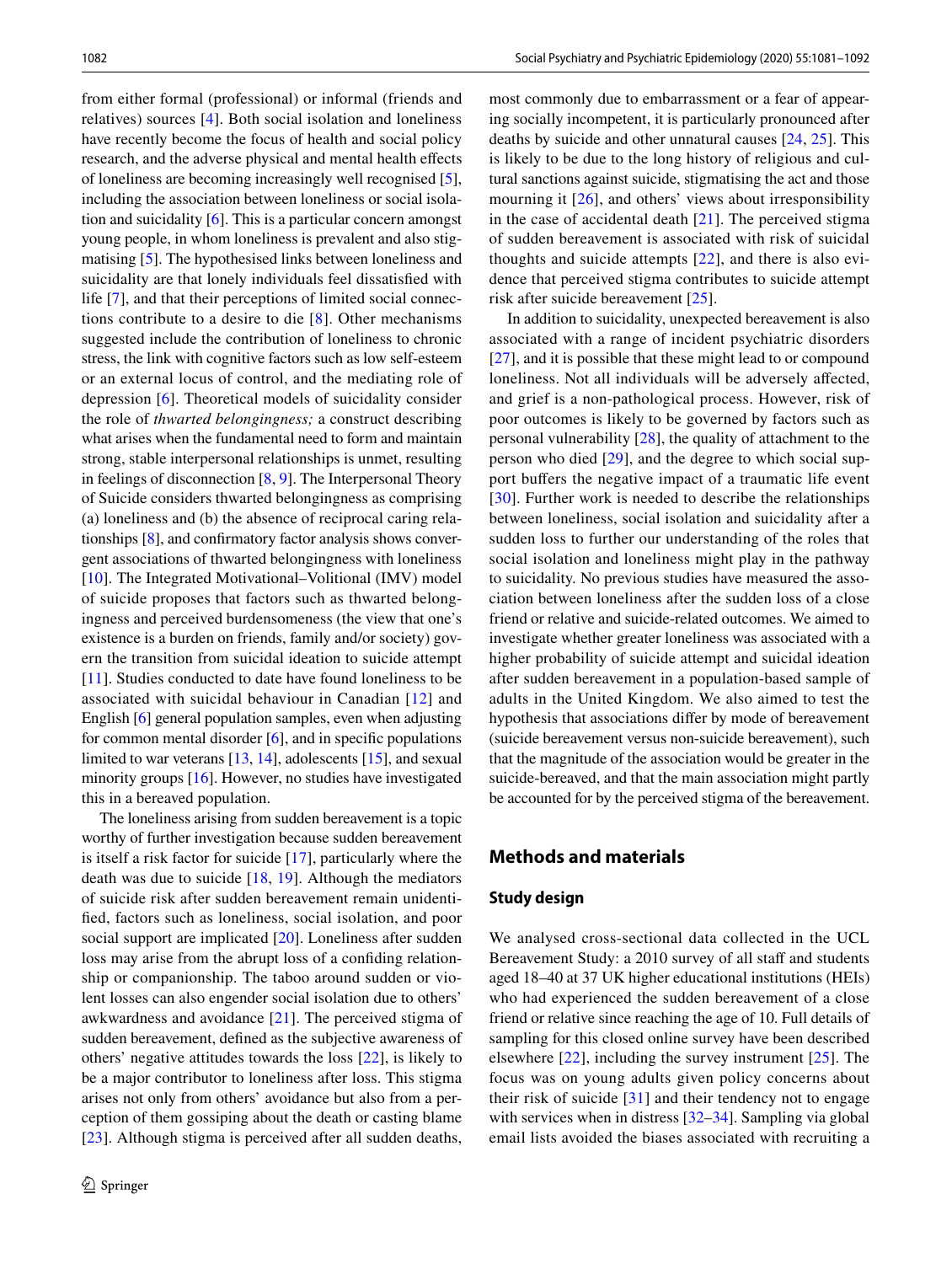from either formal (professional) or informal (friends and relatives) sources [[4\]](#page-10-0). Both social isolation and loneliness have recently become the focus of health and social policy research, and the adverse physical and mental health efects of loneliness are becoming increasingly well recognised [\[5](#page-10-1)], including the association between loneliness or social isolation and suicidality [\[6](#page-10-2)]. This is a particular concern amongst young people, in whom loneliness is prevalent and also stigmatising [[5\]](#page-10-1). The hypothesised links between loneliness and suicidality are that lonely individuals feel dissatisfed with life [\[7](#page-10-3)], and that their perceptions of limited social connections contribute to a desire to die [[8](#page-10-4)]. Other mechanisms suggested include the contribution of loneliness to chronic stress, the link with cognitive factors such as low self-esteem or an external locus of control, and the mediating role of depression [\[6](#page-10-2)]. Theoretical models of suicidality consider the role of *thwarted belongingness;* a construct describing what arises when the fundamental need to form and maintain strong, stable interpersonal relationships is unmet, resulting in feelings of disconnection [\[8](#page-10-4), [9\]](#page-10-5). The Interpersonal Theory of Suicide considers thwarted belongingness as comprising (a) loneliness and (b) the absence of reciprocal caring relationships [\[8\]](#page-10-4), and confrmatory factor analysis shows convergent associations of thwarted belongingness with loneliness [\[10\]](#page-10-6). The Integrated Motivational–Volitional (IMV) model of suicide proposes that factors such as thwarted belongingness and perceived burdensomeness (the view that one's existence is a burden on friends, family and/or society) govern the transition from suicidal ideation to suicide attempt [\[11\]](#page-10-7). Studies conducted to date have found loneliness to be associated with suicidal behaviour in Canadian [[12\]](#page-10-8) and English [[6\]](#page-10-2) general population samples, even when adjusting for common mental disorder  $[6]$  $[6]$ , and in specific populations limited to war veterans [\[13](#page-10-9), [14\]](#page-10-10), adolescents [[15\]](#page-10-11), and sexual minority groups [[16\]](#page-10-12). However, no studies have investigated this in a bereaved population.

The loneliness arising from sudden bereavement is a topic worthy of further investigation because sudden bereavement is itself a risk factor for suicide [[17](#page-10-13)], particularly where the death was due to suicide [[18,](#page-10-14) [19\]](#page-10-15). Although the mediators of suicide risk after sudden bereavement remain unidentifed, factors such as loneliness, social isolation, and poor social support are implicated [\[20](#page-10-16)]. Loneliness after sudden loss may arise from the abrupt loss of a confding relationship or companionship. The taboo around sudden or violent losses can also engender social isolation due to others' awkwardness and avoidance [[21\]](#page-10-17). The perceived stigma of sudden bereavement, defned as the subjective awareness of others' negative attitudes towards the loss [\[22](#page-10-18)], is likely to be a major contributor to loneliness after loss. This stigma arises not only from others' avoidance but also from a perception of them gossiping about the death or casting blame [\[23\]](#page-10-19). Although stigma is perceived after all sudden deaths,

most commonly due to embarrassment or a fear of appearing socially incompetent, it is particularly pronounced after deaths by suicide and other unnatural causes [\[24](#page-10-20), [25\]](#page-10-21). This is likely to be due to the long history of religious and cultural sanctions against suicide, stigmatising the act and those mourning it [\[26\]](#page-10-22), and others' views about irresponsibility in the case of accidental death [\[21](#page-10-17)]. The perceived stigma of sudden bereavement is associated with risk of suicidal thoughts and suicide attempts [\[22](#page-10-18)], and there is also evidence that perceived stigma contributes to suicide attempt risk after suicide bereavement [[25](#page-10-21)].

In addition to suicidality, unexpected bereavement is also associated with a range of incident psychiatric disorders [\[27\]](#page-10-23), and it is possible that these might lead to or compound loneliness. Not all individuals will be adversely afected, and grief is a non-pathological process. However, risk of poor outcomes is likely to be governed by factors such as personal vulnerability [\[28](#page-10-24)], the quality of attachment to the person who died [\[29](#page-10-25)], and the degree to which social support buffers the negative impact of a traumatic life event [[30\]](#page-10-26). Further work is needed to describe the relationships between loneliness, social isolation and suicidality after a sudden loss to further our understanding of the roles that social isolation and loneliness might play in the pathway to suicidality. No previous studies have measured the association between loneliness after the sudden loss of a close friend or relative and suicide-related outcomes. We aimed to investigate whether greater loneliness was associated with a higher probability of suicide attempt and suicidal ideation after sudden bereavement in a population-based sample of adults in the United Kingdom. We also aimed to test the hypothesis that associations difer by mode of bereavement (suicide bereavement versus non-suicide bereavement), such that the magnitude of the association would be greater in the suicide-bereaved, and that the main association might partly be accounted for by the perceived stigma of the bereavement.

# **Methods and materials**

#### **Study design**

We analysed cross-sectional data collected in the UCL Bereavement Study: a 2010 survey of all staff and students aged 18–40 at 37 UK higher educational institutions (HEIs) who had experienced the sudden bereavement of a close friend or relative since reaching the age of 10. Full details of sampling for this closed online survey have been described elsewhere [[22](#page-10-18)], including the survey instrument [\[25\]](#page-10-21). The focus was on young adults given policy concerns about their risk of suicide [\[31](#page-10-27)] and their tendency not to engage with services when in distress [[32–](#page-10-28)[34\]](#page-10-29). Sampling via global email lists avoided the biases associated with recruiting a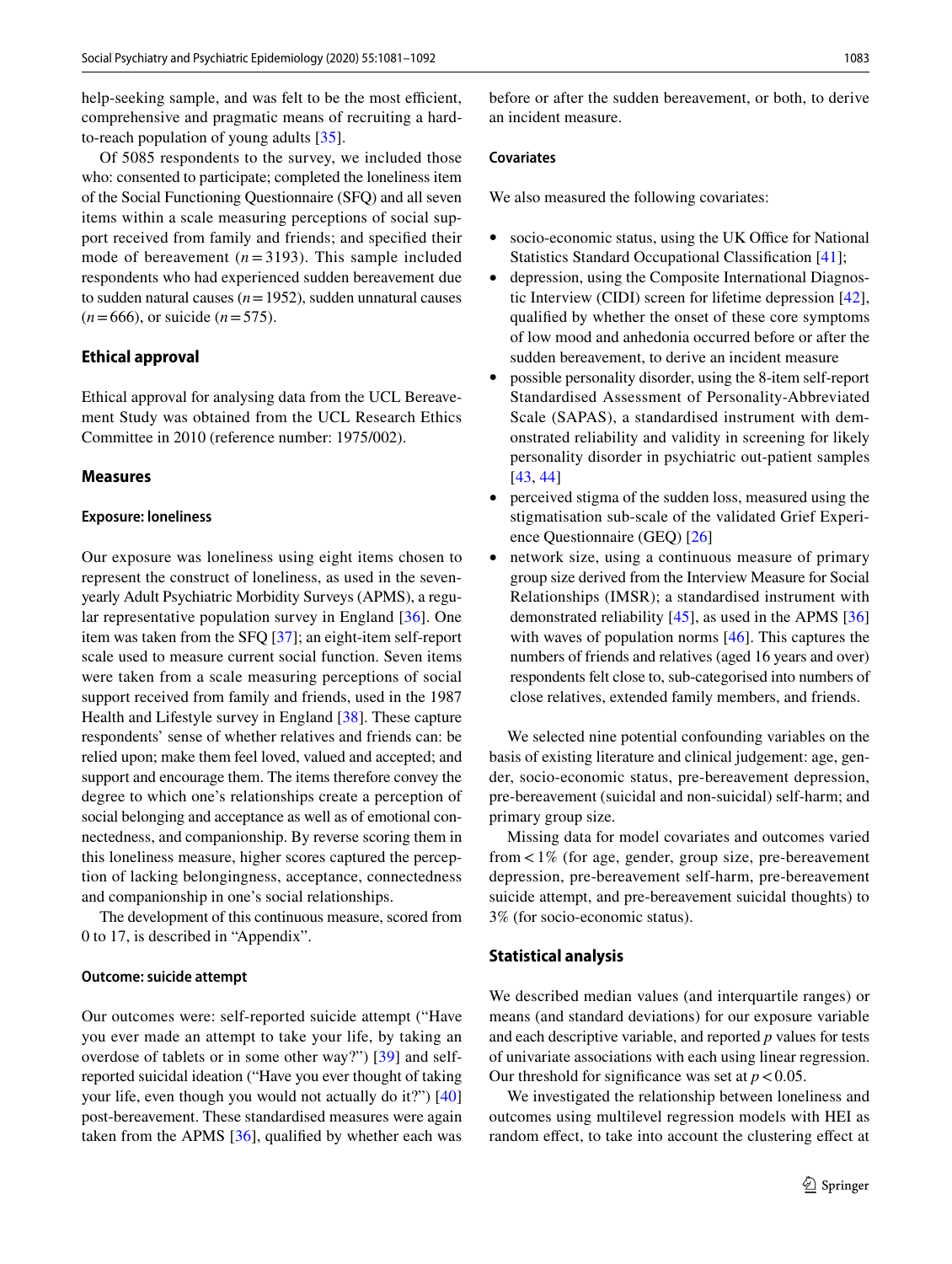help-seeking sample, and was felt to be the most efficient, comprehensive and pragmatic means of recruiting a hardto-reach population of young adults [\[35\]](#page-10-30).

Of 5085 respondents to the survey, we included those who: consented to participate; completed the loneliness item of the Social Functioning Questionnaire (SFQ) and all seven items within a scale measuring perceptions of social support received from family and friends; and specifed their mode of bereavement  $(n=3193)$ . This sample included respondents who had experienced sudden bereavement due to sudden natural causes  $(n=1952)$ , sudden unnatural causes (*n*=666), or suicide (*n*=575).

## **Ethical approval**

Ethical approval for analysing data from the UCL Bereavement Study was obtained from the UCL Research Ethics Committee in 2010 (reference number: 1975/002).

## **Measures**

#### **Exposure: loneliness**

Our exposure was loneliness using eight items chosen to represent the construct of loneliness, as used in the sevenyearly Adult Psychiatric Morbidity Surveys (APMS), a regular representative population survey in England [[36](#page-10-31)]. One item was taken from the SFQ [\[37](#page-10-32)]; an eight-item self-report scale used to measure current social function. Seven items were taken from a scale measuring perceptions of social support received from family and friends, used in the 1987 Health and Lifestyle survey in England [\[38](#page-10-33)]. These capture respondents' sense of whether relatives and friends can: be relied upon; make them feel loved, valued and accepted; and support and encourage them. The items therefore convey the degree to which one's relationships create a perception of social belonging and acceptance as well as of emotional connectedness, and companionship. By reverse scoring them in this loneliness measure, higher scores captured the perception of lacking belongingness, acceptance, connectedness and companionship in one's social relationships.

The development of this continuous measure, scored from 0 to 17, is described in "Appendix".

## **Outcome: suicide attempt**

Our outcomes were: self-reported suicide attempt ("Have you ever made an attempt to take your life, by taking an overdose of tablets or in some other way?") [[39](#page-10-34)] and selfreported suicidal ideation ("Have you ever thought of taking your life, even though you would not actually do it?") [[40\]](#page-10-35) post-bereavement. These standardised measures were again taken from the APMS  $[36]$  $[36]$ , qualified by whether each was

before or after the sudden bereavement, or both, to derive an incident measure.

## **Covariates**

We also measured the following covariates:

- socio-economic status, using the UK Office for National Statistics Standard Occupational Classifcation [[41\]](#page-10-36);
- depression, using the Composite International Diagnostic Interview (CIDI) screen for lifetime depression [\[42](#page-11-0)], qualifed by whether the onset of these core symptoms of low mood and anhedonia occurred before or after the sudden bereavement, to derive an incident measure
- possible personality disorder, using the 8-item self-report Standardised Assessment of Personality-Abbreviated Scale (SAPAS), a standardised instrument with demonstrated reliability and validity in screening for likely personality disorder in psychiatric out-patient samples [[43,](#page-11-1) [44\]](#page-11-2)
- perceived stigma of the sudden loss, measured using the stigmatisation sub-scale of the validated Grief Experience Questionnaire (GEQ) [[26\]](#page-10-22)
- network size, using a continuous measure of primary group size derived from the Interview Measure for Social Relationships (IMSR); a standardised instrument with demonstrated reliability  $[45]$  $[45]$ , as used in the APMS  $[36]$  $[36]$ with waves of population norms [[46](#page-11-4)]. This captures the numbers of friends and relatives (aged 16 years and over) respondents felt close to, sub-categorised into numbers of close relatives, extended family members, and friends.

We selected nine potential confounding variables on the basis of existing literature and clinical judgement: age, gender, socio-economic status, pre-bereavement depression, pre-bereavement (suicidal and non-suicidal) self-harm; and primary group size.

Missing data for model covariates and outcomes varied from <1% (for age, gender, group size, pre-bereavement depression, pre-bereavement self-harm, pre-bereavement suicide attempt, and pre-bereavement suicidal thoughts) to 3% (for socio-economic status).

#### **Statistical analysis**

We described median values (and interquartile ranges) or means (and standard deviations) for our exposure variable and each descriptive variable, and reported *p* values for tests of univariate associations with each using linear regression. Our threshold for significance was set at  $p < 0.05$ .

We investigated the relationship between loneliness and outcomes using multilevel regression models with HEI as random effect, to take into account the clustering effect at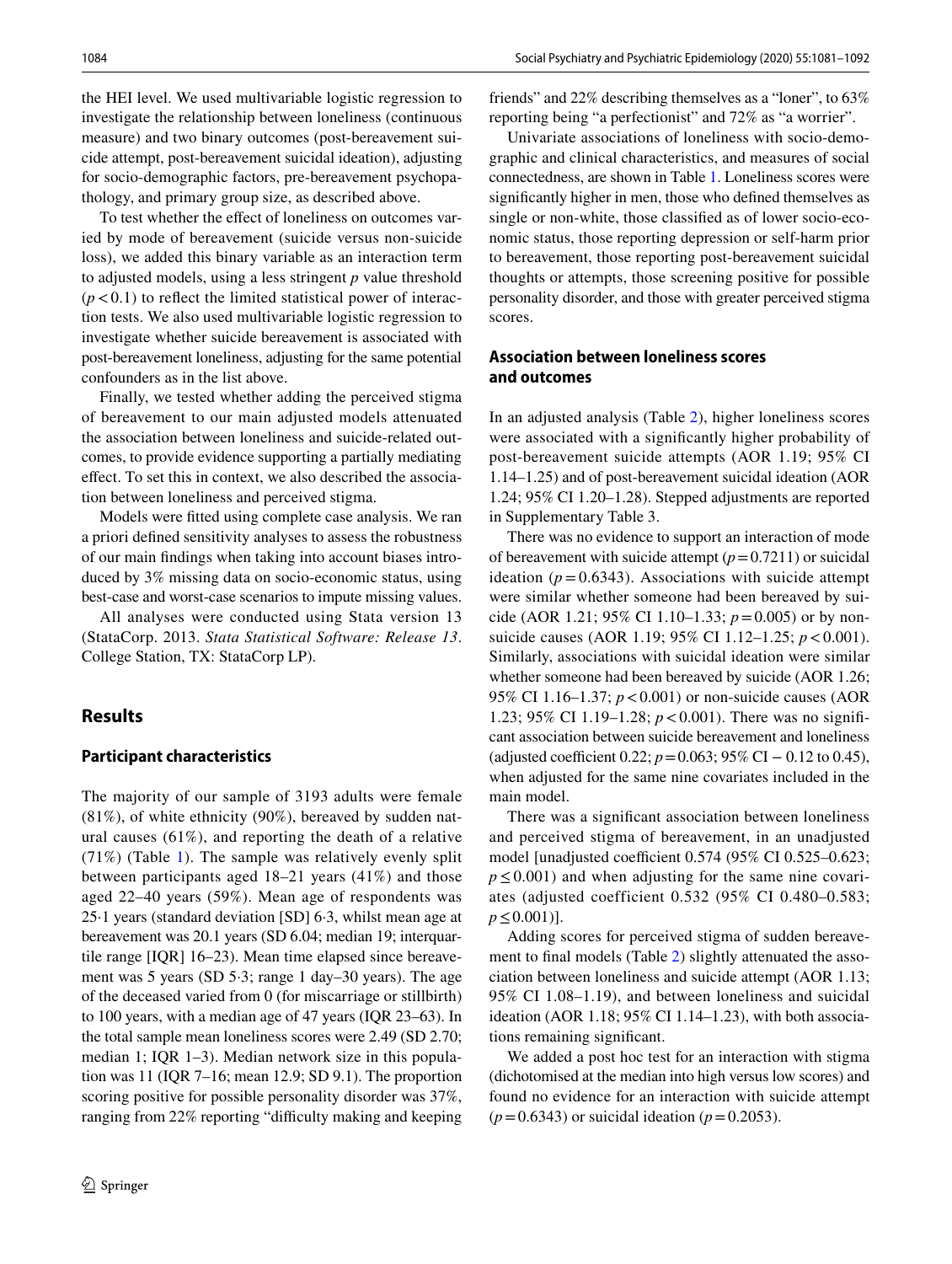the HEI level. We used multivariable logistic regression to investigate the relationship between loneliness (continuous measure) and two binary outcomes (post-bereavement suicide attempt, post-bereavement suicidal ideation), adjusting for socio-demographic factors, pre-bereavement psychopathology, and primary group size, as described above.

To test whether the effect of loneliness on outcomes varied by mode of bereavement (suicide versus non-suicide loss), we added this binary variable as an interaction term to adjusted models, using a less stringent *p* value threshold  $(p<0.1)$  to reflect the limited statistical power of interaction tests. We also used multivariable logistic regression to investigate whether suicide bereavement is associated with post-bereavement loneliness, adjusting for the same potential confounders as in the list above.

Finally, we tested whether adding the perceived stigma of bereavement to our main adjusted models attenuated the association between loneliness and suicide-related outcomes, to provide evidence supporting a partially mediating efect. To set this in context, we also described the association between loneliness and perceived stigma.

Models were ftted using complete case analysis. We ran a priori defned sensitivity analyses to assess the robustness of our main fndings when taking into account biases introduced by 3% missing data on socio-economic status, using best-case and worst-case scenarios to impute missing values.

All analyses were conducted using Stata version 13 (StataCorp. 2013. *Stata Statistical Software: Release 13*. College Station, TX: StataCorp LP).

# **Results**

#### **Participant characteristics**

The majority of our sample of 3193 adults were female (81%), of white ethnicity (90%), bereaved by sudden natural causes (61%), and reporting the death of a relative (71%) (Table [1](#page-4-0)). The sample was relatively evenly split between participants aged 18–21 years (41%) and those aged 22–40 years (59%). Mean age of respondents was 25·1 years (standard deviation [SD] 6·3, whilst mean age at bereavement was 20.1 years (SD 6.04; median 19; interquartile range [IQR] 16–23). Mean time elapsed since bereavement was 5 years (SD 5·3; range 1 day–30 years). The age of the deceased varied from 0 (for miscarriage or stillbirth) to 100 years, with a median age of 47 years (IQR 23–63). In the total sample mean loneliness scores were 2.49 (SD 2.70; median 1; IQR 1–3). Median network size in this population was 11 (IQR 7–16; mean 12.9; SD 9.1). The proportion scoring positive for possible personality disorder was 37%, ranging from 22% reporting "difficulty making and keeping friends" and 22% describing themselves as a "loner", to 63% reporting being "a perfectionist" and 72% as "a worrier".

Univariate associations of loneliness with socio-demographic and clinical characteristics, and measures of social connectedness, are shown in Table [1.](#page-4-0) Loneliness scores were signifcantly higher in men, those who defned themselves as single or non-white, those classifed as of lower socio-economic status, those reporting depression or self-harm prior to bereavement, those reporting post-bereavement suicidal thoughts or attempts, those screening positive for possible personality disorder, and those with greater perceived stigma scores.

# **Association between loneliness scores and outcomes**

In an adjusted analysis (Table [2\)](#page-5-0), higher loneliness scores were associated with a signifcantly higher probability of post-bereavement suicide attempts (AOR 1.19; 95% CI 1.14–1.25) and of post-bereavement suicidal ideation (AOR 1.24; 95% CI 1.20–1.28). Stepped adjustments are reported in Supplementary Table 3.

There was no evidence to support an interaction of mode of bereavement with suicide attempt  $(p=0.7211)$  or suicidal ideation  $(p=0.6343)$ . Associations with suicide attempt were similar whether someone had been bereaved by suicide (AOR 1.21; 95% CI 1.10–1.33; *p*=0.005) or by nonsuicide causes (AOR 1.19; 95% CI 1.12–1.25;  $p < 0.001$ ). Similarly, associations with suicidal ideation were similar whether someone had been bereaved by suicide (AOR 1.26; 95% CI 1.16–1.37; *p*<0.001) or non-suicide causes (AOR 1.23; 95% CI 1.19–1.28; *p*<0.001). There was no signifcant association between suicide bereavement and loneliness (adjusted coefficient 0.22;  $p = 0.063$ ; 95% CI – 0.12 to 0.45), when adjusted for the same nine covariates included in the main model.

There was a signifcant association between loneliness and perceived stigma of bereavement, in an unadjusted model [unadjusted coefficient  $0.574$  (95% CI  $0.525 - 0.623$ ;  $p \leq 0.001$ ) and when adjusting for the same nine covariates (adjusted coefficient 0.532 (95% CI 0.480–0.583; *p* ≤ 0.001)].

Adding scores for perceived stigma of sudden bereave-ment to final models (Table [2](#page-5-0)) slightly attenuated the association between loneliness and suicide attempt (AOR 1.13; 95% CI 1.08–1.19), and between loneliness and suicidal ideation (AOR 1.18; 95% CI 1.14–1.23), with both associations remaining signifcant.

We added a post hoc test for an interaction with stigma (dichotomised at the median into high versus low scores) and found no evidence for an interaction with suicide attempt  $(p=0.6343)$  or suicidal ideation  $(p=0.2053)$ .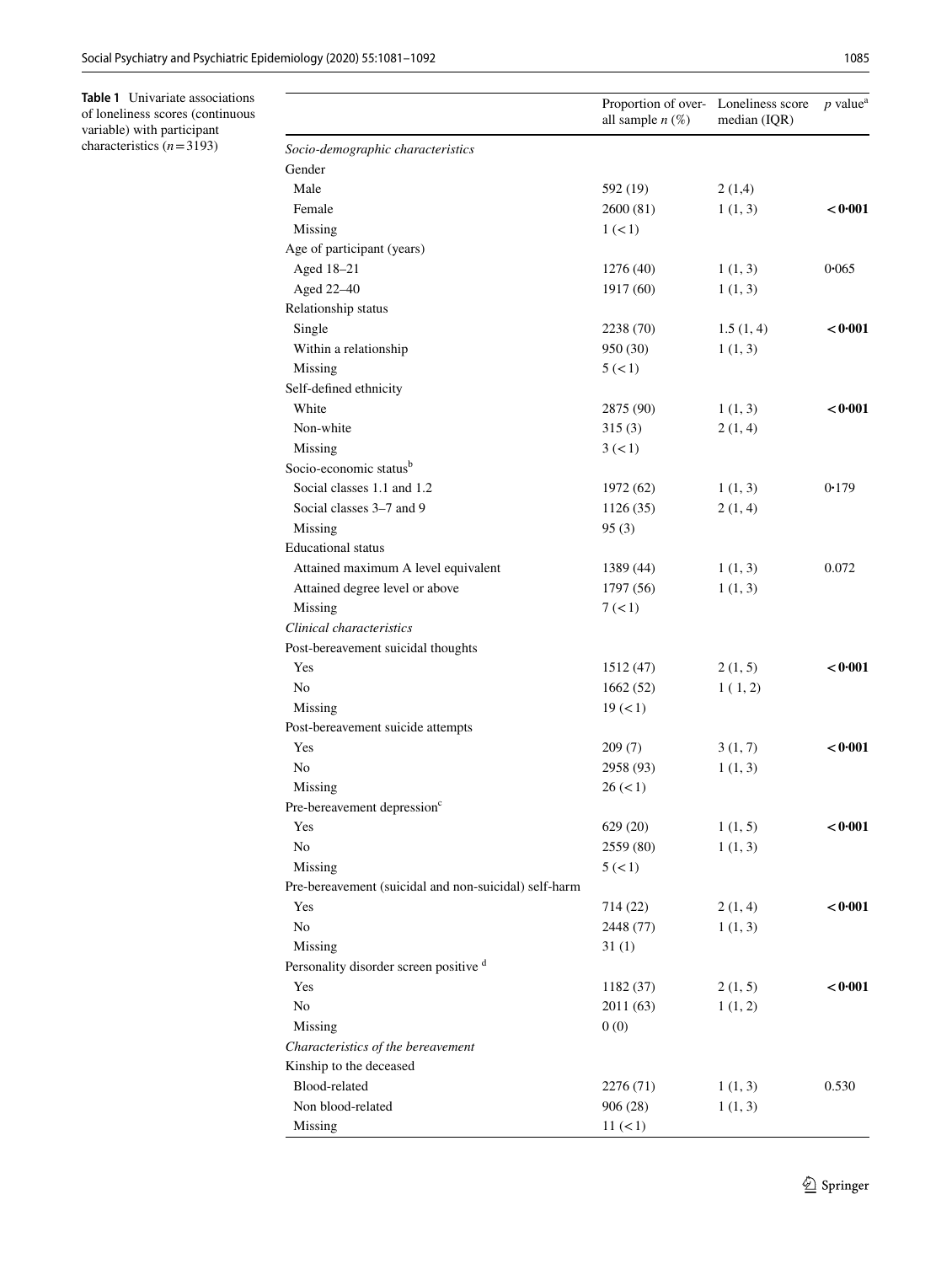<span id="page-4-0"></span>

|                                                              | Proportion of over- Loneliness score<br>all sample $n$ (%) |           | $p$ value <sup>a</sup> |  |
|--------------------------------------------------------------|------------------------------------------------------------|-----------|------------------------|--|
| Socio-demographic characteristics                            |                                                            |           |                        |  |
| Gender                                                       |                                                            |           |                        |  |
| Male                                                         | 592 (19)                                                   | 2(1,4)    |                        |  |
| Female                                                       | 2600(81)                                                   | 1(1, 3)   | < 0.001                |  |
| Missing                                                      | 1 (< 1)                                                    |           |                        |  |
| Age of participant (years)                                   |                                                            |           |                        |  |
| Aged 18-21                                                   | 1276(40)                                                   | 1(1, 3)   | 0.065                  |  |
| Aged 22-40                                                   | 1917 (60)                                                  | 1(1, 3)   |                        |  |
| Relationship status                                          |                                                            |           |                        |  |
| Single                                                       | 2238 (70)                                                  | 1.5(1, 4) | < 0.001                |  |
| Within a relationship                                        | 950 (30)                                                   | 1(1, 3)   |                        |  |
| Missing                                                      | 5 (< 1)                                                    |           |                        |  |
| Self-defined ethnicity                                       |                                                            |           |                        |  |
| White                                                        | 2875 (90)                                                  | 1(1, 3)   | < 0.001                |  |
| Non-white                                                    | 315(3)                                                     | 2(1, 4)   |                        |  |
| Missing                                                      | 3 (< 1)                                                    |           |                        |  |
| Socio-economic status <sup>b</sup>                           |                                                            |           |                        |  |
| Social classes 1.1 and 1.2                                   | 1972 (62)                                                  | 1(1, 3)   | 0.179                  |  |
| Social classes 3–7 and 9                                     | 1126(35)                                                   | 2(1, 4)   |                        |  |
| Missing                                                      | 95(3)                                                      |           |                        |  |
| <b>Educational</b> status                                    |                                                            |           |                        |  |
| Attained maximum A level equivalent                          | 1389 (44)                                                  | 1(1, 3)   | 0.072                  |  |
| Attained degree level or above                               | 1797 (56)                                                  | 1(1, 3)   |                        |  |
| Missing                                                      | 7 (< 1)                                                    |           |                        |  |
| Clinical characteristics                                     |                                                            |           |                        |  |
| Post-bereavement suicidal thoughts                           |                                                            |           |                        |  |
| Yes                                                          | 1512 (47)                                                  | 2(1, 5)   | < 0.001                |  |
| No                                                           | 1662(52)                                                   | 1(1, 2)   |                        |  |
| Missing                                                      | 19 (< 1)                                                   |           |                        |  |
| Post-bereavement suicide attempts                            |                                                            |           |                        |  |
| Yes                                                          | 209(7)                                                     | 3(1, 7)   | < 0.001                |  |
| No                                                           | 2958 (93)                                                  | 1(1, 3)   |                        |  |
| Missing                                                      | 26 (< 1)                                                   |           |                        |  |
| Pre-bereavement depression <sup>c</sup>                      |                                                            |           |                        |  |
| Yes                                                          | 629(20)                                                    | 1(1, 5)   | < 0.001                |  |
| N <sub>0</sub>                                               | 2559 (80)                                                  | 1(1, 3)   |                        |  |
| Missing                                                      | 5 (< 1)                                                    |           |                        |  |
| Pre-bereavement (suicidal and non-suicidal) self-harm        |                                                            |           |                        |  |
| Yes                                                          | 714 (22)                                                   | 2(1, 4)   | < 0.001                |  |
| N <sub>0</sub>                                               | 2448 (77)                                                  | 1(1, 3)   |                        |  |
|                                                              | 31(1)                                                      |           |                        |  |
| Missing<br>Personality disorder screen positive <sup>d</sup> |                                                            |           |                        |  |
|                                                              |                                                            |           |                        |  |
| Yes                                                          | 1182(37)                                                   | 2(1, 5)   | < 0.001                |  |
| No                                                           | 2011 (63)                                                  | 1(1, 2)   |                        |  |
| Missing                                                      | 0(0)                                                       |           |                        |  |
| Characteristics of the bereavement                           |                                                            |           |                        |  |
| Kinship to the deceased                                      |                                                            |           |                        |  |
| Blood-related                                                | 2276 (71)                                                  | 1(1, 3)   | 0.530                  |  |
| Non blood-related                                            | 906 (28)                                                   | 1(1, 3)   |                        |  |
| Missing                                                      | 11 (< 1)                                                   |           |                        |  |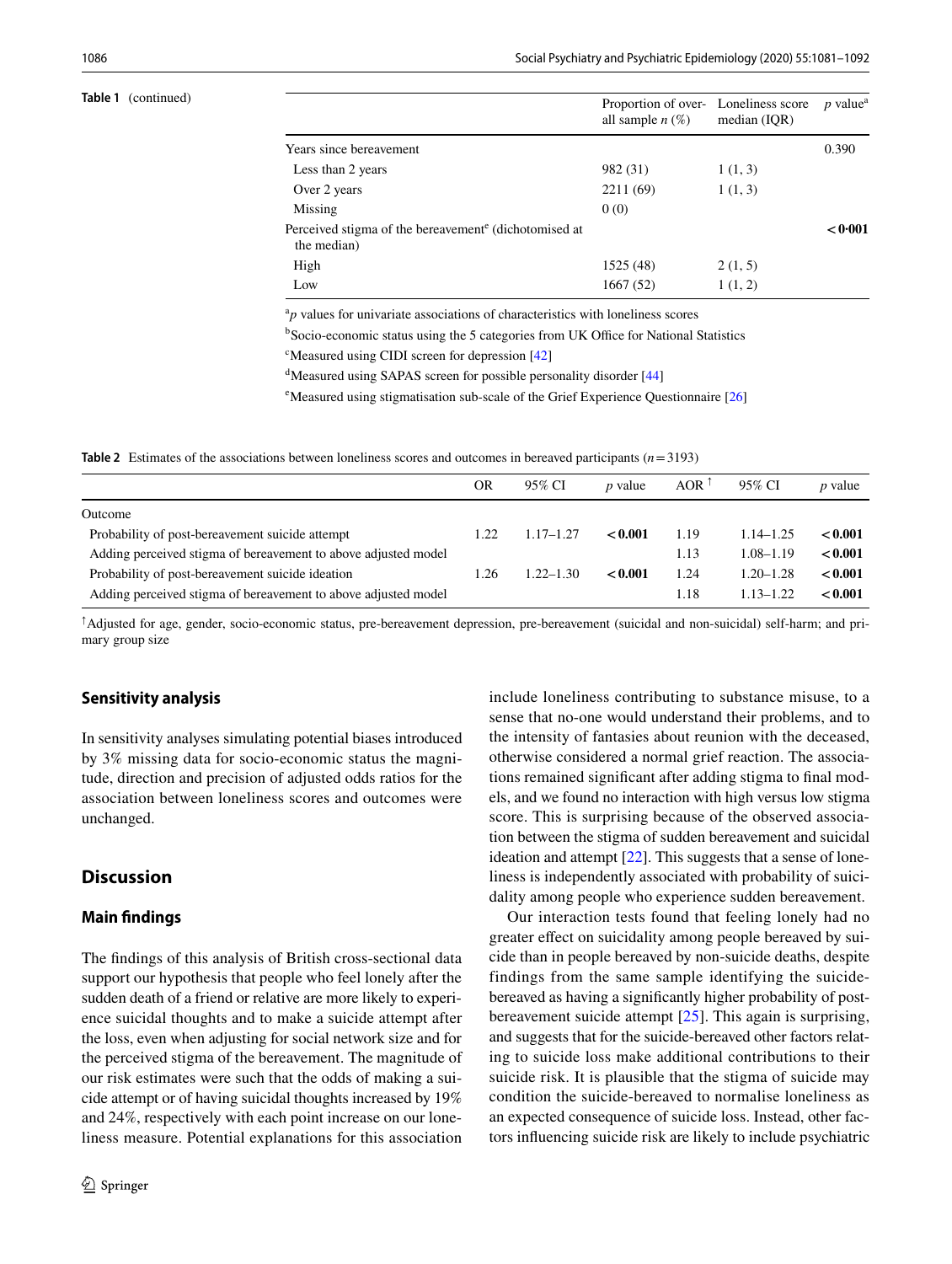#### **Table 1** (continued)

|                                                                                  | Proportion of over- Loneliness score<br>all sample $n(\%)$ | median $(IQR)$ | $p$ value <sup>a</sup> |  |
|----------------------------------------------------------------------------------|------------------------------------------------------------|----------------|------------------------|--|
| Years since bereavement                                                          |                                                            |                | 0.390                  |  |
| Less than 2 years                                                                | 982 (31)                                                   | 1(1, 3)        |                        |  |
| Over 2 years                                                                     | 2211 (69)                                                  | 1(1, 3)        |                        |  |
| Missing                                                                          | 0(0)                                                       |                |                        |  |
| Perceived stigma of the bereavement <sup>e</sup> (dichotomised at<br>the median) |                                                            |                | < 0.001                |  |
| High                                                                             | 1525 (48)                                                  | 2(1, 5)        |                        |  |
| Low                                                                              | 1667(52)                                                   | 1(1, 2)        |                        |  |

 ${}^{a}p$  values for univariate associations of characteristics with loneliness scores

<sup>b</sup>Socio-economic status using the 5 categories from UK Office for National Statistics

<sup>c</sup>Measured using CIDI screen for depression [\[42\]](#page-11-0)

<sup>d</sup>Measured using SAPAS screen for possible personality disorder [\[44\]](#page-11-2)

<sup>e</sup>Measured using stigmatisation sub-scale of the Grief Experience Questionnaire [\[26\]](#page-10-22)

<span id="page-5-0"></span>**Table 2** Estimates of the associations between loneliness scores and outcomes in bereaved participants (*n*=3193)

|                                                                | OR   | 95% CI        | <i>p</i> value | AOR $1$ | 95% CI        | <i>p</i> value |
|----------------------------------------------------------------|------|---------------|----------------|---------|---------------|----------------|
| Outcome                                                        |      |               |                |         |               |                |
| Probability of post-bereavement suicide attempt                | 1.22 | $1.17 - 1.27$ | < 0.001        | 1.19    | $1.14 - 1.25$ | < 0.001        |
| Adding perceived stigma of bereavement to above adjusted model |      |               |                | 1.13    | $1.08 - 1.19$ | < 0.001        |
| Probability of post-bereavement suicide ideation               | 1.26 | $1.22 - 1.30$ | < 0.001        | 1.24    | $1.20 - 1.28$ | < 0.001        |
| Adding perceived stigma of bereavement to above adjusted model |      |               |                | 1.18    | $1.13 - 1.22$ | < 0.001        |
|                                                                |      |               |                |         |               |                |

**↑** Adjusted for age, gender, socio-economic status, pre-bereavement depression, pre-bereavement (suicidal and non-suicidal) self-harm; and primary group size

#### **Sensitivity analysis**

In sensitivity analyses simulating potential biases introduced by 3% missing data for socio-economic status the magnitude, direction and precision of adjusted odds ratios for the association between loneliness scores and outcomes were unchanged.

# **Discussion**

## **Main fndings**

The fndings of this analysis of British cross-sectional data support our hypothesis that people who feel lonely after the sudden death of a friend or relative are more likely to experience suicidal thoughts and to make a suicide attempt after the loss, even when adjusting for social network size and for the perceived stigma of the bereavement. The magnitude of our risk estimates were such that the odds of making a suicide attempt or of having suicidal thoughts increased by 19% and 24%, respectively with each point increase on our loneliness measure. Potential explanations for this association include loneliness contributing to substance misuse, to a sense that no-one would understand their problems, and to the intensity of fantasies about reunion with the deceased, otherwise considered a normal grief reaction. The associations remained signifcant after adding stigma to fnal models, and we found no interaction with high versus low stigma score. This is surprising because of the observed association between the stigma of sudden bereavement and suicidal ideation and attempt  $[22]$  $[22]$ . This suggests that a sense of loneliness is independently associated with probability of suicidality among people who experience sudden bereavement.

Our interaction tests found that feeling lonely had no greater effect on suicidality among people bereaved by suicide than in people bereaved by non-suicide deaths, despite findings from the same sample identifying the suicidebereaved as having a signifcantly higher probability of postbereavement suicide attempt [[25\]](#page-10-21). This again is surprising, and suggests that for the suicide-bereaved other factors relating to suicide loss make additional contributions to their suicide risk. It is plausible that the stigma of suicide may condition the suicide-bereaved to normalise loneliness as an expected consequence of suicide loss. Instead, other factors infuencing suicide risk are likely to include psychiatric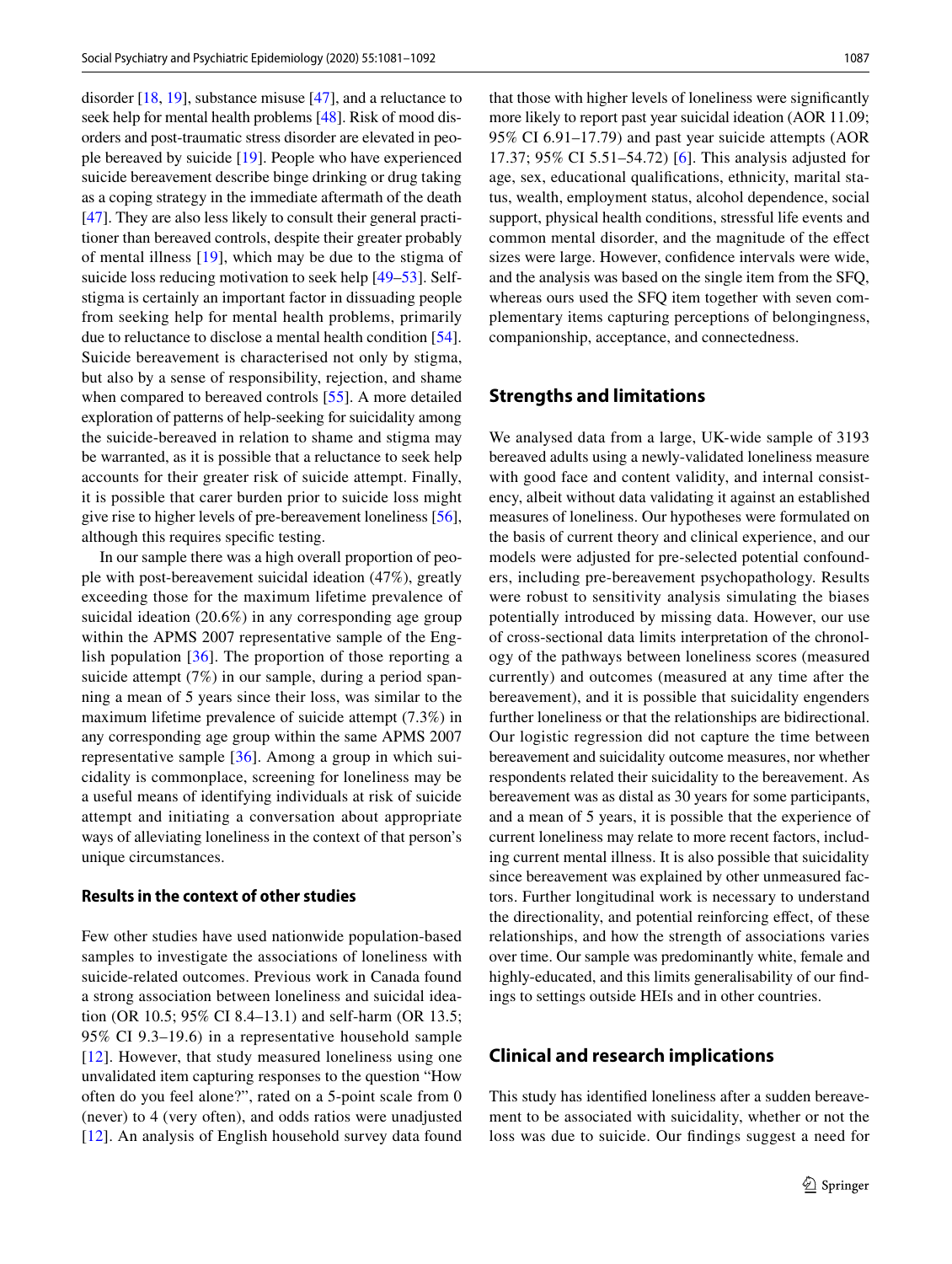disorder [\[18](#page-10-14), [19](#page-10-15)], substance misuse [[47\]](#page-11-5), and a reluctance to seek help for mental health problems [[48\]](#page-11-6). Risk of mood disorders and post-traumatic stress disorder are elevated in people bereaved by suicide [\[19](#page-10-15)]. People who have experienced suicide bereavement describe binge drinking or drug taking as a coping strategy in the immediate aftermath of the death [\[47](#page-11-5)]. They are also less likely to consult their general practitioner than bereaved controls, despite their greater probably of mental illness [\[19\]](#page-10-15), which may be due to the stigma of suicide loss reducing motivation to seek help [\[49](#page-11-7)[–53](#page-11-8)]. Selfstigma is certainly an important factor in dissuading people from seeking help for mental health problems, primarily due to reluctance to disclose a mental health condition [\[54](#page-11-9)]. Suicide bereavement is characterised not only by stigma, but also by a sense of responsibility, rejection, and shame when compared to bereaved controls [\[55](#page-11-10)]. A more detailed exploration of patterns of help-seeking for suicidality among the suicide-bereaved in relation to shame and stigma may be warranted, as it is possible that a reluctance to seek help accounts for their greater risk of suicide attempt. Finally, it is possible that carer burden prior to suicide loss might give rise to higher levels of pre-bereavement loneliness [\[56](#page-11-11)], although this requires specifc testing.

In our sample there was a high overall proportion of people with post-bereavement suicidal ideation (47%), greatly exceeding those for the maximum lifetime prevalence of suicidal ideation (20.6%) in any corresponding age group within the APMS 2007 representative sample of the English population [\[36\]](#page-10-31). The proportion of those reporting a suicide attempt (7%) in our sample, during a period spanning a mean of 5 years since their loss, was similar to the maximum lifetime prevalence of suicide attempt (7.3%) in any corresponding age group within the same APMS 2007 representative sample [\[36\]](#page-10-31). Among a group in which suicidality is commonplace, screening for loneliness may be a useful means of identifying individuals at risk of suicide attempt and initiating a conversation about appropriate ways of alleviating loneliness in the context of that person's unique circumstances.

## **Results in the context of other studies**

Few other studies have used nationwide population-based samples to investigate the associations of loneliness with suicide-related outcomes. Previous work in Canada found a strong association between loneliness and suicidal ideation (OR 10.5; 95% CI 8.4–13.1) and self-harm (OR 13.5; 95% CI 9.3–19.6) in a representative household sample [[12\]](#page-10-8). However, that study measured loneliness using one unvalidated item capturing responses to the question "How often do you feel alone?", rated on a 5-point scale from 0 (never) to 4 (very often), and odds ratios were unadjusted [\[12\]](#page-10-8). An analysis of English household survey data found that those with higher levels of loneliness were signifcantly more likely to report past year suicidal ideation (AOR 11.09; 95% CI 6.91–17.79) and past year suicide attempts (AOR 17.37; 95% CI 5.51–54.72) [[6\]](#page-10-2). This analysis adjusted for age, sex, educational qualifcations, ethnicity, marital status, wealth, employment status, alcohol dependence, social support, physical health conditions, stressful life events and common mental disorder, and the magnitude of the efect sizes were large. However, confdence intervals were wide, and the analysis was based on the single item from the SFQ, whereas ours used the SFQ item together with seven complementary items capturing perceptions of belongingness, companionship, acceptance, and connectedness.

# **Strengths and limitations**

We analysed data from a large, UK-wide sample of 3193 bereaved adults using a newly-validated loneliness measure with good face and content validity, and internal consistency, albeit without data validating it against an established measures of loneliness. Our hypotheses were formulated on the basis of current theory and clinical experience, and our models were adjusted for pre-selected potential confounders, including pre-bereavement psychopathology. Results were robust to sensitivity analysis simulating the biases potentially introduced by missing data. However, our use of cross-sectional data limits interpretation of the chronology of the pathways between loneliness scores (measured currently) and outcomes (measured at any time after the bereavement), and it is possible that suicidality engenders further loneliness or that the relationships are bidirectional. Our logistic regression did not capture the time between bereavement and suicidality outcome measures, nor whether respondents related their suicidality to the bereavement. As bereavement was as distal as 30 years for some participants, and a mean of 5 years, it is possible that the experience of current loneliness may relate to more recent factors, including current mental illness. It is also possible that suicidality since bereavement was explained by other unmeasured factors. Further longitudinal work is necessary to understand the directionality, and potential reinforcing efect, of these relationships, and how the strength of associations varies over time. Our sample was predominantly white, female and highly-educated, and this limits generalisability of our fndings to settings outside HEIs and in other countries.

# **Clinical and research implications**

This study has identifed loneliness after a sudden bereavement to be associated with suicidality, whether or not the loss was due to suicide. Our fndings suggest a need for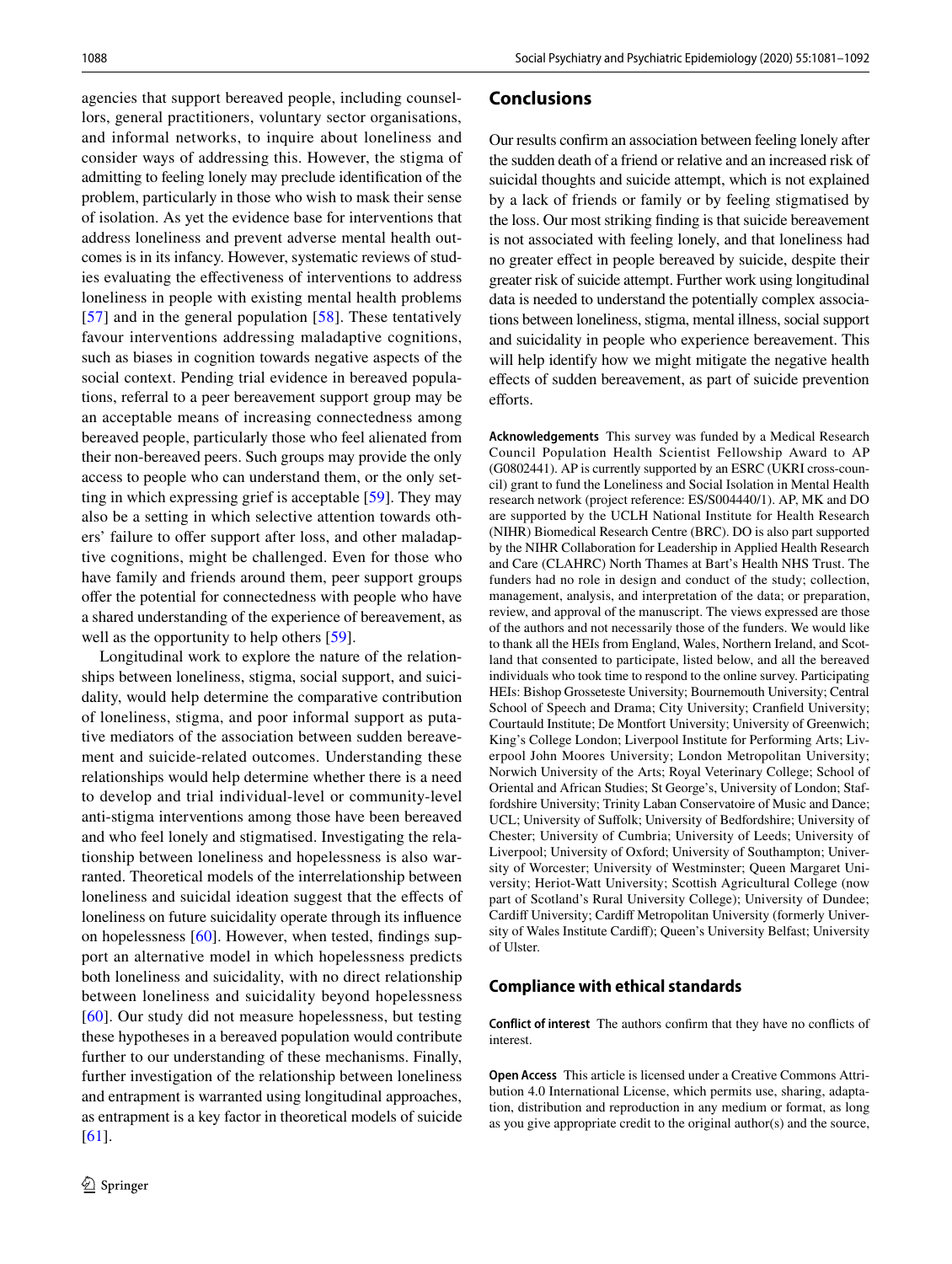agencies that support bereaved people, including counsellors, general practitioners, voluntary sector organisations, and informal networks, to inquire about loneliness and consider ways of addressing this. However, the stigma of admitting to feeling lonely may preclude identifcation of the problem, particularly in those who wish to mask their sense of isolation. As yet the evidence base for interventions that address loneliness and prevent adverse mental health outcomes is in its infancy. However, systematic reviews of studies evaluating the efectiveness of interventions to address loneliness in people with existing mental health problems [\[57\]](#page-11-12) and in the general population [[58](#page-11-13)]. These tentatively favour interventions addressing maladaptive cognitions, such as biases in cognition towards negative aspects of the social context. Pending trial evidence in bereaved populations, referral to a peer bereavement support group may be an acceptable means of increasing connectedness among bereaved people, particularly those who feel alienated from their non-bereaved peers. Such groups may provide the only access to people who can understand them, or the only setting in which expressing grief is acceptable [[59\]](#page-11-14). They may also be a setting in which selective attention towards others' failure to offer support after loss, and other maladaptive cognitions, might be challenged. Even for those who have family and friends around them, peer support groups ofer the potential for connectedness with people who have a shared understanding of the experience of bereavement, as well as the opportunity to help others [[59](#page-11-14)].

Longitudinal work to explore the nature of the relationships between loneliness, stigma, social support, and suicidality, would help determine the comparative contribution of loneliness, stigma, and poor informal support as putative mediators of the association between sudden bereavement and suicide-related outcomes. Understanding these relationships would help determine whether there is a need to develop and trial individual-level or community-level anti-stigma interventions among those have been bereaved and who feel lonely and stigmatised. Investigating the relationship between loneliness and hopelessness is also warranted. Theoretical models of the interrelationship between loneliness and suicidal ideation suggest that the effects of loneliness on future suicidality operate through its infuence on hopelessness [\[60\]](#page-11-15). However, when tested, fndings support an alternative model in which hopelessness predicts both loneliness and suicidality, with no direct relationship between loneliness and suicidality beyond hopelessness [\[60\]](#page-11-15). Our study did not measure hopelessness, but testing these hypotheses in a bereaved population would contribute further to our understanding of these mechanisms. Finally, further investigation of the relationship between loneliness and entrapment is warranted using longitudinal approaches, as entrapment is a key factor in theoretical models of suicide [\[61\]](#page-11-16).

## **Conclusions**

Our results confrm an association between feeling lonely after the sudden death of a friend or relative and an increased risk of suicidal thoughts and suicide attempt, which is not explained by a lack of friends or family or by feeling stigmatised by the loss. Our most striking fnding is that suicide bereavement is not associated with feeling lonely, and that loneliness had no greater efect in people bereaved by suicide, despite their greater risk of suicide attempt. Further work using longitudinal data is needed to understand the potentially complex associations between loneliness, stigma, mental illness, social support and suicidality in people who experience bereavement. This will help identify how we might mitigate the negative health efects of sudden bereavement, as part of suicide prevention efforts

**Acknowledgements** This survey was funded by a Medical Research Council Population Health Scientist Fellowship Award to AP (G0802441). AP is currently supported by an ESRC (UKRI cross-council) grant to fund the Loneliness and Social Isolation in Mental Health research network (project reference: ES/S004440/1). AP, MK and DO are supported by the UCLH National Institute for Health Research (NIHR) Biomedical Research Centre (BRC). DO is also part supported by the NIHR Collaboration for Leadership in Applied Health Research and Care (CLAHRC) North Thames at Bart's Health NHS Trust. The funders had no role in design and conduct of the study; collection, management, analysis, and interpretation of the data; or preparation, review, and approval of the manuscript. The views expressed are those of the authors and not necessarily those of the funders. We would like to thank all the HEIs from England, Wales, Northern Ireland, and Scotland that consented to participate, listed below, and all the bereaved individuals who took time to respond to the online survey. Participating HEIs: Bishop Grosseteste University; Bournemouth University; Central School of Speech and Drama; City University; Cranfeld University; Courtauld Institute; De Montfort University; University of Greenwich; King's College London; Liverpool Institute for Performing Arts; Liverpool John Moores University; London Metropolitan University; Norwich University of the Arts; Royal Veterinary College; School of Oriental and African Studies; St George's, University of London; Staffordshire University; Trinity Laban Conservatoire of Music and Dance; UCL; University of Sufolk; University of Bedfordshire; University of Chester; University of Cumbria; University of Leeds; University of Liverpool; University of Oxford; University of Southampton; University of Worcester; University of Westminster; Queen Margaret University; Heriot-Watt University; Scottish Agricultural College (now part of Scotland's Rural University College); University of Dundee; Cardif University; Cardif Metropolitan University (formerly University of Wales Institute Cardif); Queen's University Belfast; University of Ulster.

## **Compliance with ethical standards**

**Conflict of interest** The authors confrm that they have no conficts of interest.

**Open Access** This article is licensed under a Creative Commons Attribution 4.0 International License, which permits use, sharing, adaptation, distribution and reproduction in any medium or format, as long as you give appropriate credit to the original author(s) and the source,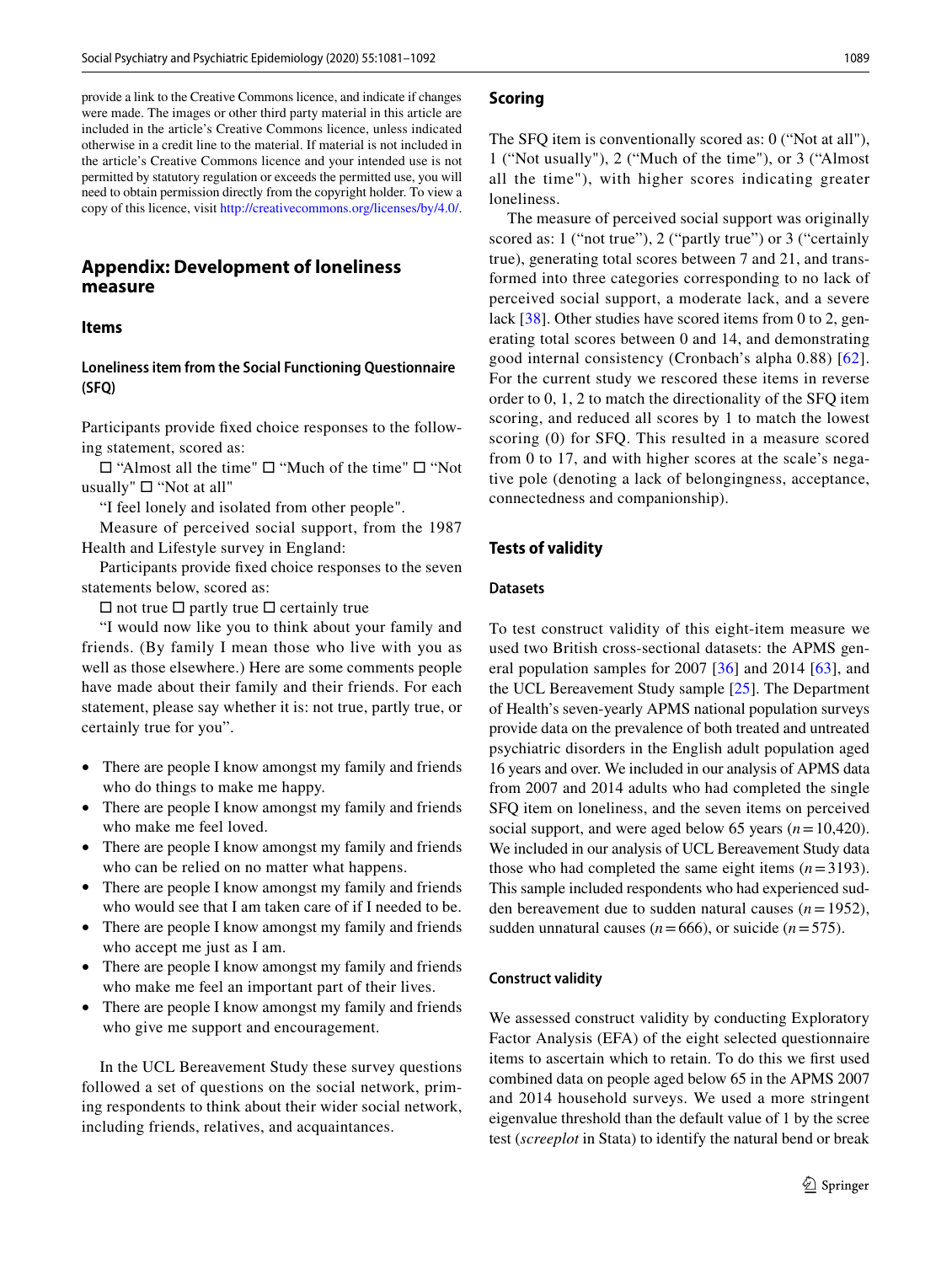provide a link to the Creative Commons licence, and indicate if changes were made. The images or other third party material in this article are included in the article's Creative Commons licence, unless indicated otherwise in a credit line to the material. If material is not included in the article's Creative Commons licence and your intended use is not permitted by statutory regulation or exceeds the permitted use, you will need to obtain permission directly from the copyright holder. To view a copy of this licence, visit <http://creativecommons.org/licenses/by/4.0/>.

# **Appendix: Development of loneliness measure**

#### **Items**

## **Loneliness item from the Social Functioning Questionnaire (SFQ)**

Participants provide fxed choice responses to the following statement, scored as:

□ "Almost all the time" □ "Much of the time" □ "Not usually"  $\square$  "Not at all"

"I feel lonely and isolated from other people".

Measure of perceived social support, from the 1987 Health and Lifestyle survey in England:

Participants provide fxed choice responses to the seven statements below, scored as:

 $\Box$  not true  $\Box$  partly true  $\Box$  certainly true

"I would now like you to think about your family and friends. (By family I mean those who live with you as well as those elsewhere.) Here are some comments people have made about their family and their friends. For each statement, please say whether it is: not true, partly true, or certainly true for you".

- There are people I know amongst my family and friends who do things to make me happy.
- There are people I know amongst my family and friends who make me feel loved.
- There are people I know amongst my family and friends who can be relied on no matter what happens.
- There are people I know amongst my family and friends who would see that I am taken care of if I needed to be.
- There are people I know amongst my family and friends who accept me just as I am.
- There are people I know amongst my family and friends who make me feel an important part of their lives.
- There are people I know amongst my family and friends who give me support and encouragement.

In the UCL Bereavement Study these survey questions followed a set of questions on the social network, priming respondents to think about their wider social network, including friends, relatives, and acquaintances.

#### **Scoring**

The SFQ item is conventionally scored as: 0 ("Not at all"), 1 ("Not usually"), 2 ("Much of the time"), or 3 ("Almost all the time"), with higher scores indicating greater loneliness.

The measure of perceived social support was originally scored as: 1 ("not true"), 2 ("partly true") or 3 ("certainly true), generating total scores between 7 and 21, and transformed into three categories corresponding to no lack of perceived social support, a moderate lack, and a severe lack [[38\]](#page-10-33). Other studies have scored items from 0 to 2, generating total scores between 0 and 14, and demonstrating good internal consistency (Cronbach's alpha 0.88) [[62](#page-11-17)]. For the current study we rescored these items in reverse order to 0, 1, 2 to match the directionality of the SFQ item scoring, and reduced all scores by 1 to match the lowest scoring (0) for SFQ. This resulted in a measure scored from 0 to 17, and with higher scores at the scale's negative pole (denoting a lack of belongingness, acceptance, connectedness and companionship).

#### **Tests of validity**

#### **Datasets**

To test construct validity of this eight-item measure we used two British cross-sectional datasets: the APMS general population samples for 2007  $[36]$  $[36]$  $[36]$  and 2014  $[63]$ , and the UCL Bereavement Study sample [[25\]](#page-10-21). The Department of Health's seven-yearly APMS national population surveys provide data on the prevalence of both treated and untreated psychiatric disorders in the English adult population aged 16 years and over. We included in our analysis of APMS data from 2007 and 2014 adults who had completed the single SFQ item on loneliness, and the seven items on perceived social support, and were aged below 65 years (*n*=10,420). We included in our analysis of UCL Bereavement Study data those who had completed the same eight items  $(n=3193)$ . This sample included respondents who had experienced sudden bereavement due to sudden natural causes (*n*=1952), sudden unnatural causes ( $n=666$ ), or suicide ( $n=575$ ).

#### **Construct validity**

We assessed construct validity by conducting Exploratory Factor Analysis (EFA) of the eight selected questionnaire items to ascertain which to retain. To do this we frst used combined data on people aged below 65 in the APMS 2007 and 2014 household surveys. We used a more stringent eigenvalue threshold than the default value of 1 by the scree test (*screeplot* in Stata) to identify the natural bend or break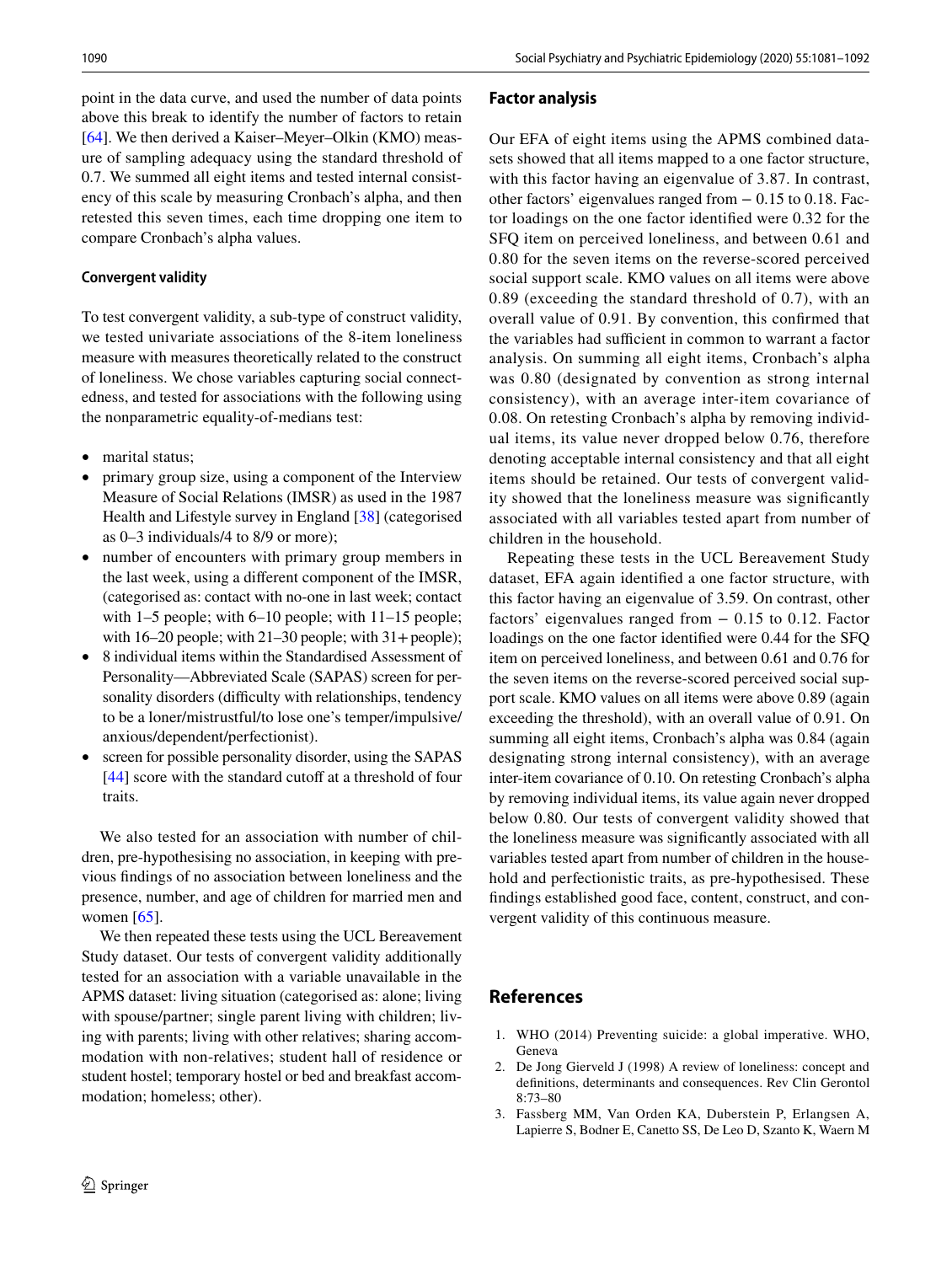point in the data curve, and used the number of data points above this break to identify the number of factors to retain [\[64](#page-11-19)]. We then derived a Kaiser–Meyer–Olkin (KMO) measure of sampling adequacy using the standard threshold of 0.7. We summed all eight items and tested internal consistency of this scale by measuring Cronbach's alpha, and then retested this seven times, each time dropping one item to compare Cronbach's alpha values.

# **Convergent validity**

To test convergent validity, a sub-type of construct validity, we tested univariate associations of the 8-item loneliness measure with measures theoretically related to the construct of loneliness. We chose variables capturing social connectedness, and tested for associations with the following using the nonparametric equality-of-medians test:

- marital status;
- primary group size, using a component of the Interview Measure of Social Relations (IMSR) as used in the 1987 Health and Lifestyle survey in England [[38\]](#page-10-33) (categorised as 0–3 individuals/4 to 8/9 or more);
- number of encounters with primary group members in the last week, using a diferent component of the IMSR, (categorised as: contact with no-one in last week; contact with 1–5 people; with 6–10 people; with 11–15 people; with  $16-20$  people; with  $21-30$  people; with  $31+$  people);
- 8 individual items within the Standardised Assessment of Personality—Abbreviated Scale (SAPAS) screen for personality disorders (difficulty with relationships, tendency to be a loner/mistrustful/to lose one's temper/impulsive/ anxious/dependent/perfectionist).
- screen for possible personality disorder, using the SAPAS  $[44]$  $[44]$  score with the standard cutoff at a threshold of four traits.

We also tested for an association with number of children, pre-hypothesising no association, in keeping with previous fndings of no association between loneliness and the presence, number, and age of children for married men and women  $[65]$  $[65]$ .

We then repeated these tests using the UCL Bereavement Study dataset. Our tests of convergent validity additionally tested for an association with a variable unavailable in the APMS dataset: living situation (categorised as: alone; living with spouse/partner; single parent living with children; living with parents; living with other relatives; sharing accommodation with non-relatives; student hall of residence or student hostel; temporary hostel or bed and breakfast accommodation; homeless; other).

# **Factor analysis**

Our EFA of eight items using the APMS combined datasets showed that all items mapped to a one factor structure, with this factor having an eigenvalue of 3.87. In contrast, other factors' eigenvalues ranged from − 0.15 to 0.18. Factor loadings on the one factor identifed were 0.32 for the SFQ item on perceived loneliness, and between 0.61 and 0.80 for the seven items on the reverse-scored perceived social support scale. KMO values on all items were above 0.89 (exceeding the standard threshold of 0.7), with an overall value of 0.91. By convention, this confrmed that the variables had sufficient in common to warrant a factor analysis. On summing all eight items, Cronbach's alpha was 0.80 (designated by convention as strong internal consistency), with an average inter-item covariance of 0.08. On retesting Cronbach's alpha by removing individual items, its value never dropped below 0.76, therefore denoting acceptable internal consistency and that all eight items should be retained. Our tests of convergent validity showed that the loneliness measure was signifcantly associated with all variables tested apart from number of children in the household.

Repeating these tests in the UCL Bereavement Study dataset, EFA again identifed a one factor structure, with this factor having an eigenvalue of 3.59. On contrast, other factors' eigenvalues ranged from  $-0.15$  to 0.12. Factor loadings on the one factor identifed were 0.44 for the SFQ item on perceived loneliness, and between 0.61 and 0.76 for the seven items on the reverse-scored perceived social support scale. KMO values on all items were above 0.89 (again exceeding the threshold), with an overall value of 0.91. On summing all eight items, Cronbach's alpha was 0.84 (again designating strong internal consistency), with an average inter-item covariance of 0.10. On retesting Cronbach's alpha by removing individual items, its value again never dropped below 0.80. Our tests of convergent validity showed that the loneliness measure was signifcantly associated with all variables tested apart from number of children in the household and perfectionistic traits, as pre-hypothesised. These fndings established good face, content, construct, and convergent validity of this continuous measure.

# **References**

- <span id="page-9-0"></span>1. WHO (2014) Preventing suicide: a global imperative. WHO, Geneva
- <span id="page-9-1"></span>2. De Jong Gierveld J (1998) A review of loneliness: concept and defnitions, determinants and consequences. Rev Clin Gerontol 8:73–80
- <span id="page-9-2"></span>3. Fassberg MM, Van Orden KA, Duberstein P, Erlangsen A, Lapierre S, Bodner E, Canetto SS, De Leo D, Szanto K, Waern M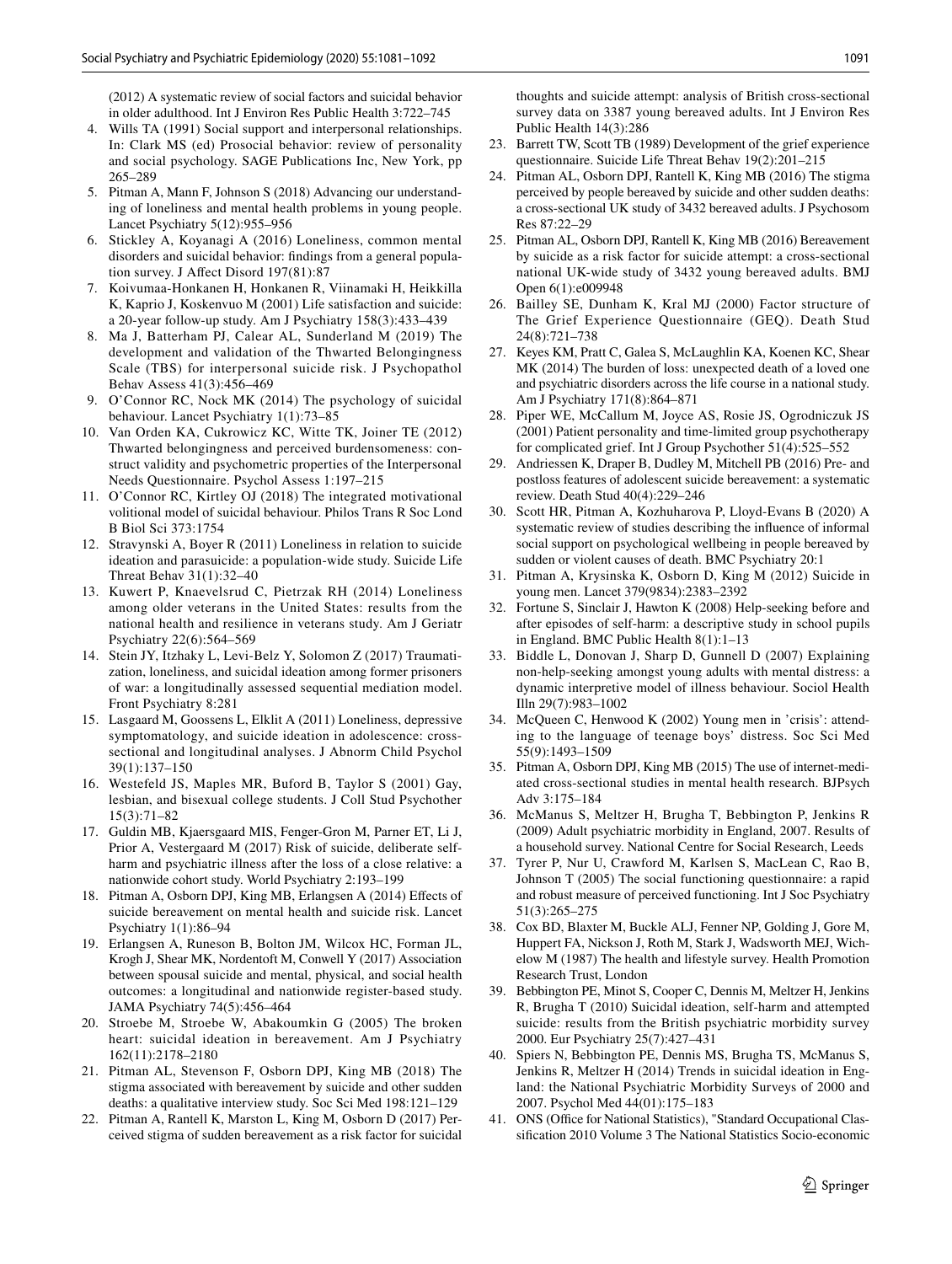(2012) A systematic review of social factors and suicidal behavior in older adulthood. Int J Environ Res Public Health 3:722–745

- <span id="page-10-0"></span>4. Wills TA (1991) Social support and interpersonal relationships. In: Clark MS (ed) Prosocial behavior: review of personality and social psychology. SAGE Publications Inc, New York, pp 265–289
- <span id="page-10-1"></span>5. Pitman A, Mann F, Johnson S (2018) Advancing our understanding of loneliness and mental health problems in young people. Lancet Psychiatry 5(12):955–956
- <span id="page-10-2"></span>6. Stickley A, Koyanagi A (2016) Loneliness, common mental disorders and suicidal behavior: fndings from a general population survey. J Afect Disord 197(81):87
- <span id="page-10-3"></span>7. Koivumaa-Honkanen H, Honkanen R, Viinamaki H, Heikkilla K, Kaprio J, Koskenvuo M (2001) Life satisfaction and suicide: a 20-year follow-up study. Am J Psychiatry 158(3):433–439
- <span id="page-10-4"></span>8. Ma J, Batterham PJ, Calear AL, Sunderland M (2019) The development and validation of the Thwarted Belongingness Scale (TBS) for interpersonal suicide risk. J Psychopathol Behav Assess 41(3):456–469
- <span id="page-10-5"></span>9. O'Connor RC, Nock MK (2014) The psychology of suicidal behaviour. Lancet Psychiatry 1(1):73–85
- <span id="page-10-6"></span>10. Van Orden KA, Cukrowicz KC, Witte TK, Joiner TE (2012) Thwarted belongingness and perceived burdensomeness: construct validity and psychometric properties of the Interpersonal Needs Questionnaire. Psychol Assess 1:197–215
- <span id="page-10-7"></span>11. O'Connor RC, Kirtley OJ (2018) The integrated motivational volitional model of suicidal behaviour. Philos Trans R Soc Lond B Biol Sci 373:1754
- <span id="page-10-8"></span>12. Stravynski A, Boyer R (2011) Loneliness in relation to suicide ideation and parasuicide: a population-wide study. Suicide Life Threat Behav 31(1):32–40
- <span id="page-10-9"></span>13. Kuwert P, Knaevelsrud C, Pietrzak RH (2014) Loneliness among older veterans in the United States: results from the national health and resilience in veterans study. Am J Geriatr Psychiatry 22(6):564–569
- <span id="page-10-10"></span>14. Stein JY, Itzhaky L, Levi-Belz Y, Solomon Z (2017) Traumatization, loneliness, and suicidal ideation among former prisoners of war: a longitudinally assessed sequential mediation model. Front Psychiatry 8:281
- <span id="page-10-11"></span>15. Lasgaard M, Goossens L, Elklit A (2011) Loneliness, depressive symptomatology, and suicide ideation in adolescence: crosssectional and longitudinal analyses. J Abnorm Child Psychol 39(1):137–150
- <span id="page-10-12"></span>16. Westefeld JS, Maples MR, Buford B, Taylor S (2001) Gay, lesbian, and bisexual college students. J Coll Stud Psychother 15(3):71–82
- <span id="page-10-13"></span>17. Guldin MB, Kjaersgaard MIS, Fenger-Gron M, Parner ET, Li J, Prior A, Vestergaard M (2017) Risk of suicide, deliberate selfharm and psychiatric illness after the loss of a close relative: a nationwide cohort study. World Psychiatry 2:193–199
- <span id="page-10-14"></span>18. Pitman A, Osborn DPJ, King MB, Erlangsen A (2014) Efects of suicide bereavement on mental health and suicide risk. Lancet Psychiatry 1(1):86–94
- <span id="page-10-15"></span>19. Erlangsen A, Runeson B, Bolton JM, Wilcox HC, Forman JL, Krogh J, Shear MK, Nordentoft M, Conwell Y (2017) Association between spousal suicide and mental, physical, and social health outcomes: a longitudinal and nationwide register-based study. JAMA Psychiatry 74(5):456–464
- <span id="page-10-16"></span>20. Stroebe M, Stroebe W, Abakoumkin G (2005) The broken heart: suicidal ideation in bereavement. Am J Psychiatry 162(11):2178–2180
- <span id="page-10-17"></span>21. Pitman AL, Stevenson F, Osborn DPJ, King MB (2018) The stigma associated with bereavement by suicide and other sudden deaths: a qualitative interview study. Soc Sci Med 198:121–129
- <span id="page-10-18"></span>22. Pitman A, Rantell K, Marston L, King M, Osborn D (2017) Perceived stigma of sudden bereavement as a risk factor for suicidal

thoughts and suicide attempt: analysis of British cross-sectional survey data on 3387 young bereaved adults. Int J Environ Res Public Health 14(3):286

- <span id="page-10-19"></span>23. Barrett TW, Scott TB (1989) Development of the grief experience questionnaire. Suicide Life Threat Behav 19(2):201–215
- <span id="page-10-20"></span>24. Pitman AL, Osborn DPJ, Rantell K, King MB (2016) The stigma perceived by people bereaved by suicide and other sudden deaths: a cross-sectional UK study of 3432 bereaved adults. J Psychosom Res 87:22–29
- <span id="page-10-21"></span>25. Pitman AL, Osborn DPJ, Rantell K, King MB (2016) Bereavement by suicide as a risk factor for suicide attempt: a cross-sectional national UK-wide study of 3432 young bereaved adults. BMJ Open 6(1):e009948
- <span id="page-10-22"></span>26. Bailley SE, Dunham K, Kral MJ (2000) Factor structure of The Grief Experience Questionnaire (GEQ). Death Stud 24(8):721–738
- <span id="page-10-23"></span>27. Keyes KM, Pratt C, Galea S, McLaughlin KA, Koenen KC, Shear MK (2014) The burden of loss: unexpected death of a loved one and psychiatric disorders across the life course in a national study. Am J Psychiatry 171(8):864–871
- <span id="page-10-24"></span>28. Piper WE, McCallum M, Joyce AS, Rosie JS, Ogrodniczuk JS (2001) Patient personality and time-limited group psychotherapy for complicated grief. Int J Group Psychother 51(4):525–552
- <span id="page-10-25"></span>29. Andriessen K, Draper B, Dudley M, Mitchell PB (2016) Pre- and postloss features of adolescent suicide bereavement: a systematic review. Death Stud 40(4):229–246
- <span id="page-10-26"></span>30. Scott HR, Pitman A, Kozhuharova P, Lloyd-Evans B (2020) A systematic review of studies describing the infuence of informal social support on psychological wellbeing in people bereaved by sudden or violent causes of death. BMC Psychiatry 20:1
- <span id="page-10-27"></span>31. Pitman A, Krysinska K, Osborn D, King M (2012) Suicide in young men. Lancet 379(9834):2383–2392
- <span id="page-10-28"></span>32. Fortune S, Sinclair J, Hawton K (2008) Help-seeking before and after episodes of self-harm: a descriptive study in school pupils in England. BMC Public Health 8(1):1–13
- 33. Biddle L, Donovan J, Sharp D, Gunnell D (2007) Explaining non-help-seeking amongst young adults with mental distress: a dynamic interpretive model of illness behaviour. Sociol Health Illn 29(7):983–1002
- <span id="page-10-29"></span>34. McQueen C, Henwood K (2002) Young men in 'crisis': attending to the language of teenage boys' distress. Soc Sci Med 55(9):1493–1509
- <span id="page-10-30"></span>35. Pitman A, Osborn DPJ, King MB (2015) The use of internet-mediated cross-sectional studies in mental health research. BJPsych Adv 3:175–184
- <span id="page-10-31"></span>36. McManus S, Meltzer H, Brugha T, Bebbington P, Jenkins R (2009) Adult psychiatric morbidity in England, 2007. Results of a household survey. National Centre for Social Research, Leeds
- <span id="page-10-32"></span>37. Tyrer P, Nur U, Crawford M, Karlsen S, MacLean C, Rao B, Johnson T (2005) The social functioning questionnaire: a rapid and robust measure of perceived functioning. Int J Soc Psychiatry 51(3):265–275
- <span id="page-10-33"></span>38. Cox BD, Blaxter M, Buckle ALJ, Fenner NP, Golding J, Gore M, Huppert FA, Nickson J, Roth M, Stark J, Wadsworth MEJ, Wichelow M (1987) The health and lifestyle survey. Health Promotion Research Trust, London
- <span id="page-10-34"></span>39. Bebbington PE, Minot S, Cooper C, Dennis M, Meltzer H, Jenkins R, Brugha T (2010) Suicidal ideation, self-harm and attempted suicide: results from the British psychiatric morbidity survey 2000. Eur Psychiatry 25(7):427–431
- <span id="page-10-35"></span>40. Spiers N, Bebbington PE, Dennis MS, Brugha TS, McManus S, Jenkins R, Meltzer H (2014) Trends in suicidal ideation in England: the National Psychiatric Morbidity Surveys of 2000 and 2007. Psychol Med 44(01):175–183
- <span id="page-10-36"></span>41. ONS (Office for National Statistics), "Standard Occupational Classifcation 2010 Volume 3 The National Statistics Socio-economic